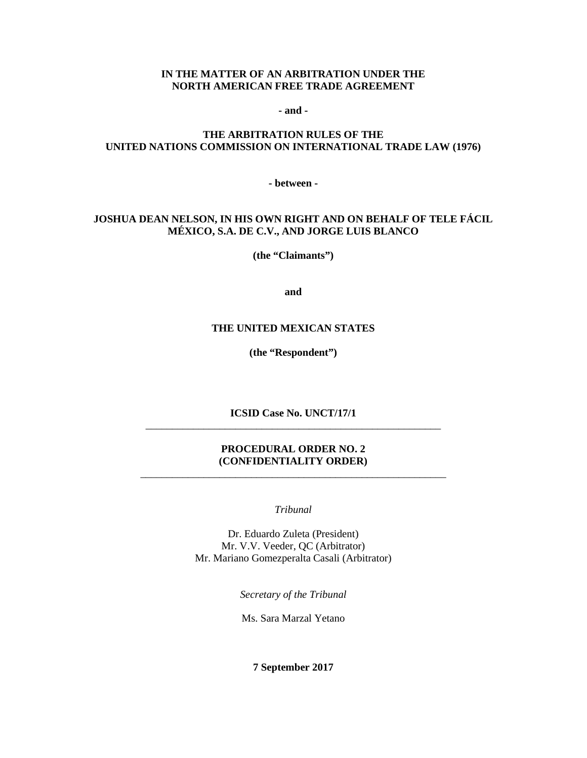### **IN THE MATTER OF AN ARBITRATION UNDER THE NORTH AMERICAN FREE TRADE AGREEMENT**

**- and -**

## **THE ARBITRATION RULES OF THE UNITED NATIONS COMMISSION ON INTERNATIONAL TRADE LAW (1976)**

**- between -**

## **JOSHUA DEAN NELSON, IN HIS OWN RIGHT AND ON BEHALF OF TELE FÁCIL MÉXICO, S.A. DE C.V., AND JORGE LUIS BLANCO**

**(the "Claimants")**

**and**

#### **THE UNITED MEXICAN STATES**

**(the "Respondent")**

**ICSID Case No. UNCT/17/1** \_\_\_\_\_\_\_\_\_\_\_\_\_\_\_\_\_\_\_\_\_\_\_\_\_\_\_\_\_\_\_\_\_\_\_\_\_\_\_\_\_\_\_\_\_\_\_\_\_\_\_\_\_\_\_\_

### **PROCEDURAL ORDER NO. 2 (CONFIDENTIALITY ORDER)** \_\_\_\_\_\_\_\_\_\_\_\_\_\_\_\_\_\_\_\_\_\_\_\_\_\_\_\_\_\_\_\_\_\_\_\_\_\_\_\_\_\_\_\_\_\_\_\_\_\_\_\_\_\_\_\_\_\_

*Tribunal*

Dr. Eduardo Zuleta (President) Mr. V.V. Veeder, QC (Arbitrator) Mr. Mariano Gomezperalta Casali (Arbitrator)

*Secretary of the Tribunal*

Ms. Sara Marzal Yetano

**7 September 2017**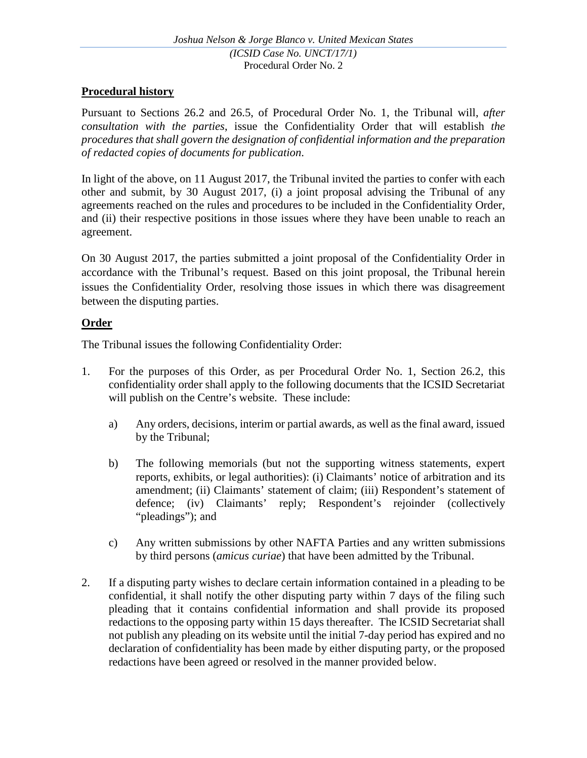# **Procedural history**

Pursuant to Sections 26.2 and 26.5, of Procedural Order No. 1, the Tribunal will, *after consultation with the parties*, issue the Confidentiality Order that will establish *the procedures that shall govern the designation of confidential information and the preparation of redacted copies of documents for publication*.

In light of the above, on 11 August 2017, the Tribunal invited the parties to confer with each other and submit, by 30 August 2017, (i) a joint proposal advising the Tribunal of any agreements reached on the rules and procedures to be included in the Confidentiality Order, and (ii) their respective positions in those issues where they have been unable to reach an agreement.

On 30 August 2017, the parties submitted a joint proposal of the Confidentiality Order in accordance with the Tribunal's request. Based on this joint proposal, the Tribunal herein issues the Confidentiality Order, resolving those issues in which there was disagreement between the disputing parties.

# **Order**

The Tribunal issues the following Confidentiality Order:

- 1. For the purposes of this Order, as per Procedural Order No. 1, Section 26.2, this confidentiality order shall apply to the following documents that the ICSID Secretariat will publish on the Centre's website. These include:
	- a) Any orders, decisions, interim or partial awards, as well as the final award, issued by the Tribunal;
	- b) The following memorials (but not the supporting witness statements, expert reports, exhibits, or legal authorities): (i) Claimants' notice of arbitration and its amendment; (ii) Claimants' statement of claim; (iii) Respondent's statement of defence; (iv) Claimants' reply; Respondent's rejoinder (collectively "pleadings"); and
	- c) Any written submissions by other NAFTA Parties and any written submissions by third persons (*amicus curiae*) that have been admitted by the Tribunal.
- 2. If a disputing party wishes to declare certain information contained in a pleading to be confidential, it shall notify the other disputing party within 7 days of the filing such pleading that it contains confidential information and shall provide its proposed redactions to the opposing party within 15 days thereafter. The ICSID Secretariat shall not publish any pleading on its website until the initial 7-day period has expired and no declaration of confidentiality has been made by either disputing party, or the proposed redactions have been agreed or resolved in the manner provided below.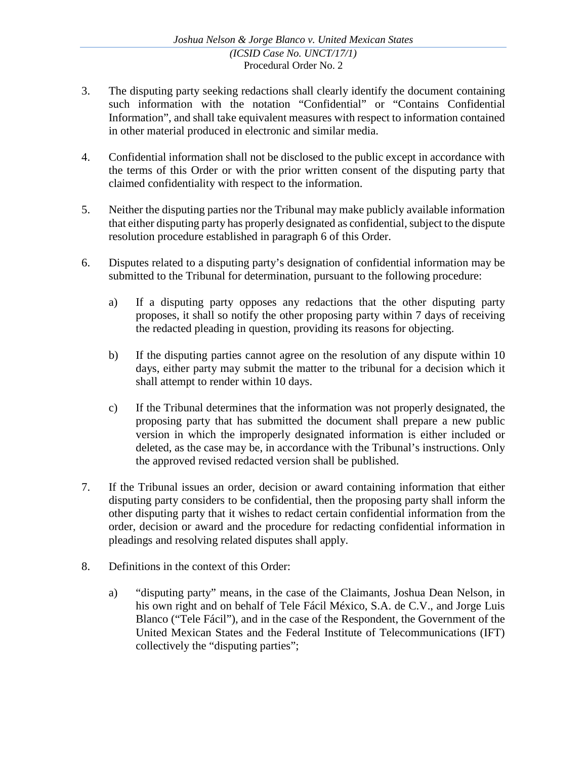- 3. The disputing party seeking redactions shall clearly identify the document containing such information with the notation "Confidential" or "Contains Confidential Information", and shall take equivalent measures with respect to information contained in other material produced in electronic and similar media.
- 4. Confidential information shall not be disclosed to the public except in accordance with the terms of this Order or with the prior written consent of the disputing party that claimed confidentiality with respect to the information.
- 5. Neither the disputing parties nor the Tribunal may make publicly available information that either disputing party has properly designated as confidential, subject to the dispute resolution procedure established in paragraph 6 of this Order.
- 6. Disputes related to a disputing party's designation of confidential information may be submitted to the Tribunal for determination, pursuant to the following procedure:
	- a) If a disputing party opposes any redactions that the other disputing party proposes, it shall so notify the other proposing party within 7 days of receiving the redacted pleading in question, providing its reasons for objecting.
	- b) If the disputing parties cannot agree on the resolution of any dispute within 10 days, either party may submit the matter to the tribunal for a decision which it shall attempt to render within 10 days.
	- c) If the Tribunal determines that the information was not properly designated, the proposing party that has submitted the document shall prepare a new public version in which the improperly designated information is either included or deleted, as the case may be, in accordance with the Tribunal's instructions. Only the approved revised redacted version shall be published.
- 7. If the Tribunal issues an order, decision or award containing information that either disputing party considers to be confidential, then the proposing party shall inform the other disputing party that it wishes to redact certain confidential information from the order, decision or award and the procedure for redacting confidential information in pleadings and resolving related disputes shall apply.
- 8. Definitions in the context of this Order:
	- a) "disputing party" means, in the case of the Claimants, Joshua Dean Nelson, in his own right and on behalf of Tele Fácil México, S.A. de C.V., and Jorge Luis Blanco ("Tele Fácil"), and in the case of the Respondent, the Government of the United Mexican States and the Federal Institute of Telecommunications (IFT) collectively the "disputing parties";